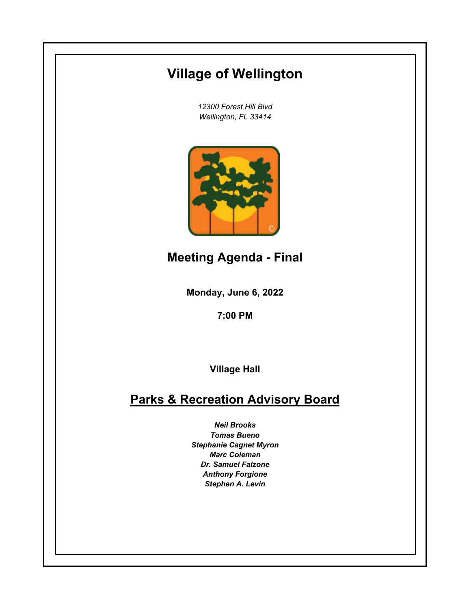# **Village of Wellington**

*12300 Forest Hill Blvd Wellington, FL 33414*



**Meeting Agenda - Final**

**Monday, June 6, 2022**

**7:00 PM**

**Village Hall**

## **Parks & Recreation Advisory Board**

*Neil Brooks Tomas Bueno Stephanie Cagnet Myron Marc Coleman Dr. Samuel Falzone Anthony Forgione Stephen A. Levin*